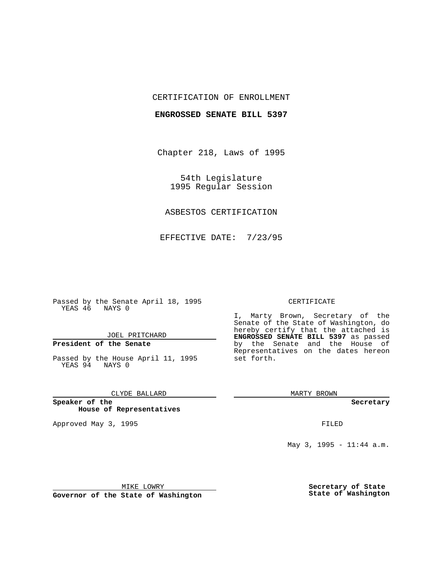## CERTIFICATION OF ENROLLMENT

### **ENGROSSED SENATE BILL 5397**

Chapter 218, Laws of 1995

54th Legislature 1995 Regular Session

## ASBESTOS CERTIFICATION

EFFECTIVE DATE: 7/23/95

Passed by the Senate April 18, 1995 YEAS 46 NAYS 0

## JOEL PRITCHARD

# **President of the Senate**

Passed by the House April 11, 1995 YEAS 94 NAYS 0

## CLYDE BALLARD

**Speaker of the House of Representatives**

Approved May 3, 1995 **FILED** 

#### CERTIFICATE

I, Marty Brown, Secretary of the Senate of the State of Washington, do hereby certify that the attached is **ENGROSSED SENATE BILL 5397** as passed by the Senate and the House of Representatives on the dates hereon set forth.

MARTY BROWN

**Secretary**

May 3, 1995 - 11:44 a.m.

MIKE LOWRY

**Governor of the State of Washington**

**Secretary of State State of Washington**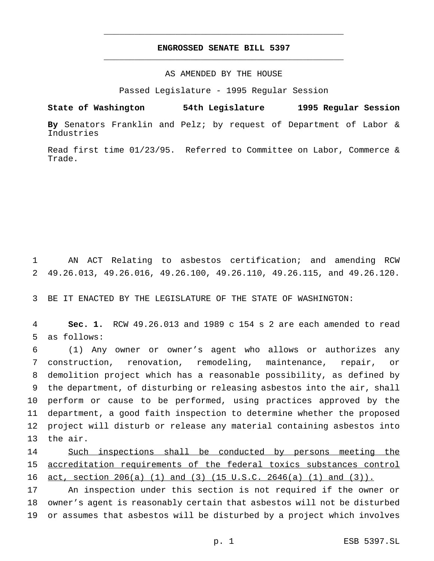## **ENGROSSED SENATE BILL 5397** \_\_\_\_\_\_\_\_\_\_\_\_\_\_\_\_\_\_\_\_\_\_\_\_\_\_\_\_\_\_\_\_\_\_\_\_\_\_\_\_\_\_\_\_\_\_\_

\_\_\_\_\_\_\_\_\_\_\_\_\_\_\_\_\_\_\_\_\_\_\_\_\_\_\_\_\_\_\_\_\_\_\_\_\_\_\_\_\_\_\_\_\_\_\_

## AS AMENDED BY THE HOUSE

Passed Legislature - 1995 Regular Session

**State of Washington 54th Legislature 1995 Regular Session**

**By** Senators Franklin and Pelz; by request of Department of Labor & Industries

Read first time 01/23/95. Referred to Committee on Labor, Commerce & Trade.

1 AN ACT Relating to asbestos certification; and amending RCW 2 49.26.013, 49.26.016, 49.26.100, 49.26.110, 49.26.115, and 49.26.120.

3 BE IT ENACTED BY THE LEGISLATURE OF THE STATE OF WASHINGTON:

4 **Sec. 1.** RCW 49.26.013 and 1989 c 154 s 2 are each amended to read 5 as follows:

 (1) Any owner or owner's agent who allows or authorizes any construction, renovation, remodeling, maintenance, repair, or demolition project which has a reasonable possibility, as defined by the department, of disturbing or releasing asbestos into the air, shall perform or cause to be performed, using practices approved by the department, a good faith inspection to determine whether the proposed project will disturb or release any material containing asbestos into 13 the air.

14 Such inspections shall be conducted by persons meeting the 15 accreditation requirements of the federal toxics substances control 16 act, section 206(a) (1) and (3) (15 U.S.C. 2646(a) (1) and (3)).

17 An inspection under this section is not required if the owner or 18 owner's agent is reasonably certain that asbestos will not be disturbed 19 or assumes that asbestos will be disturbed by a project which involves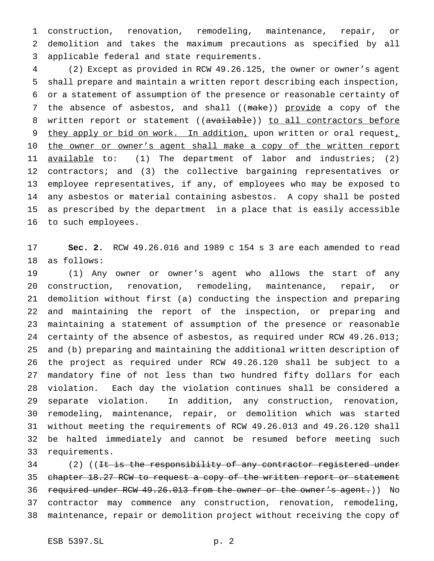construction, renovation, remodeling, maintenance, repair, or demolition and takes the maximum precautions as specified by all applicable federal and state requirements.

 (2) Except as provided in RCW 49.26.125, the owner or owner's agent shall prepare and maintain a written report describing each inspection, or a statement of assumption of the presence or reasonable certainty of 7 the absence of asbestos, and shall ((make)) provide a copy of the 8 written report or statement ((available)) to all contractors before 9 they apply or bid on work. In addition, upon written or oral request, 10 the owner or owner's agent shall make a copy of the written report 11 <u>available</u> to: (1) The department of labor and industries; (2) contractors; and (3) the collective bargaining representatives or employee representatives, if any, of employees who may be exposed to any asbestos or material containing asbestos. A copy shall be posted as prescribed by the department in a place that is easily accessible to such employees.

 **Sec. 2.** RCW 49.26.016 and 1989 c 154 s 3 are each amended to read as follows:

 (1) Any owner or owner's agent who allows the start of any construction, renovation, remodeling, maintenance, repair, or demolition without first (a) conducting the inspection and preparing and maintaining the report of the inspection, or preparing and maintaining a statement of assumption of the presence or reasonable certainty of the absence of asbestos, as required under RCW 49.26.013; and (b) preparing and maintaining the additional written description of the project as required under RCW 49.26.120 shall be subject to a mandatory fine of not less than two hundred fifty dollars for each violation. Each day the violation continues shall be considered a separate violation. In addition, any construction, renovation, remodeling, maintenance, repair, or demolition which was started without meeting the requirements of RCW 49.26.013 and 49.26.120 shall be halted immediately and cannot be resumed before meeting such requirements.

34 (2) ((It is the responsibility of any contractor registered under 35 chapter 18.27 RCW to request a copy of the written report or statement 36 required under RCW 49.26.013 from the owner or the owner's agent.)) No contractor may commence any construction, renovation, remodeling, maintenance, repair or demolition project without receiving the copy of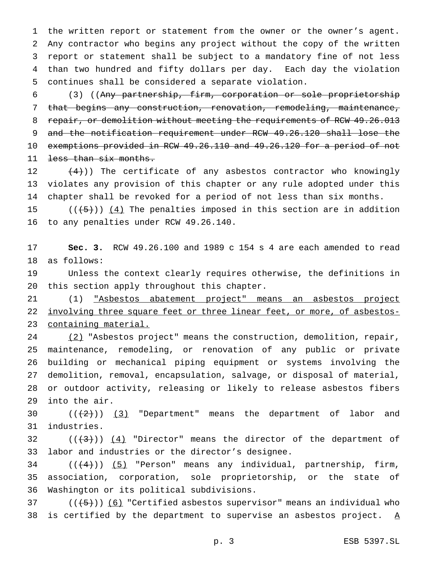the written report or statement from the owner or the owner's agent. Any contractor who begins any project without the copy of the written report or statement shall be subject to a mandatory fine of not less than two hundred and fifty dollars per day. Each day the violation continues shall be considered a separate violation.

 (3) ((Any partnership, firm, corporation or sole proprietorship that begins any construction, renovation, remodeling, maintenance, 8 repair, or demolition without meeting the requirements of RCW 49.26.013 and the notification requirement under RCW 49.26.120 shall lose the exemptions provided in RCW 49.26.110 and 49.26.120 for a period of not 11 less than six months.

12  $(4)$ )) The certificate of any asbestos contractor who knowingly violates any provision of this chapter or any rule adopted under this chapter shall be revoked for a period of not less than six months.

15  $((+5))$   $(4)$  The penalties imposed in this section are in addition to any penalties under RCW 49.26.140.

 **Sec. 3.** RCW 49.26.100 and 1989 c 154 s 4 are each amended to read as follows:

 Unless the context clearly requires otherwise, the definitions in this section apply throughout this chapter.

 (1) "Asbestos abatement project" means an asbestos project 22 involving three square feet or three linear feet, or more, of asbestos-containing material.

24 (2) "Asbestos project" means the construction, demolition, repair, maintenance, remodeling, or renovation of any public or private building or mechanical piping equipment or systems involving the demolition, removal, encapsulation, salvage, or disposal of material, or outdoor activity, releasing or likely to release asbestos fibers into the air.

30  $((+2))$   $(3)$  "Department" means the department of labor and industries.

32  $((+3))$   $(4)$  "Director" means the director of the department of labor and industries or the director's designee.

34  $((+4))$   $(5)$  "Person" means any individual, partnership, firm, association, corporation, sole proprietorship, or the state of Washington or its political subdivisions.

37  $((+5))$   $(6)$  "Certified asbestos supervisor" means an individual who 38 is certified by the department to supervise an asbestos project.  $\underline{A}$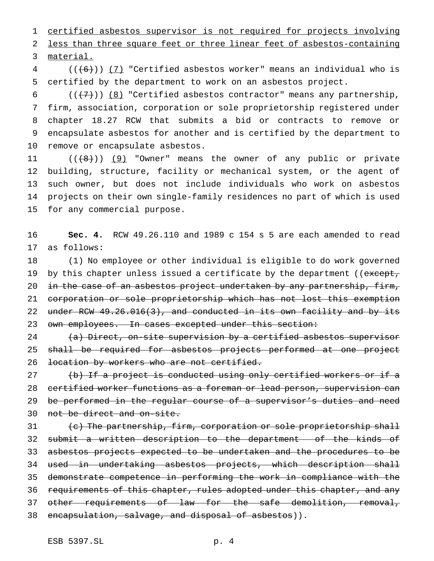certified asbestos supervisor is not required for projects involving less than three square feet or three linear feet of asbestos-containing material.

 (( $(6)$ )) (7) "Certified asbestos worker" means an individual who is certified by the department to work on an asbestos project.

 $((+7+))$  (8) "Certified asbestos contractor" means any partnership, firm, association, corporation or sole proprietorship registered under chapter 18.27 RCW that submits a bid or contracts to remove or encapsulate asbestos for another and is certified by the department to remove or encapsulate asbestos.

 $((+8))$   $(9)$  "Owner" means the owner of any public or private building, structure, facility or mechanical system, or the agent of such owner, but does not include individuals who work on asbestos projects on their own single-family residences no part of which is used for any commercial purpose.

 **Sec. 4.** RCW 49.26.110 and 1989 c 154 s 5 are each amended to read as follows:

 (1) No employee or other individual is eligible to do work governed 19 by this chapter unless issued a certificate by the department ((except, 20 in the case of an asbestos project undertaken by any partnership, firm, corporation or sole proprietorship which has not lost this exemption under RCW 49.26.016(3), and conducted in its own facility and by its 23 own employees. In cases excepted under this section:

24 (a) Direct, on-site supervision by a certified asbestos supervisor shall be required for asbestos projects performed at one project 26 location by workers who are not certified.

27 (b) If a project is conducted using only certified workers or if a certified worker functions as a foreman or lead person, supervision can 29 be performed in the regular course of a supervisor's duties and need not be direct and on-site.

31 (c) The partnership, firm, corporation or sole proprietorship shall 32 submit a written description to the department of the kinds of asbestos projects expected to be undertaken and the procedures to be used in undertaking asbestos projects, which description shall demonstrate competence in performing the work in compliance with the 36 requirements of this chapter, rules adopted under this chapter, and any 37 other requirements of law for the safe demolition, removal, 38 encapsulation, salvage, and disposal of asbestos)).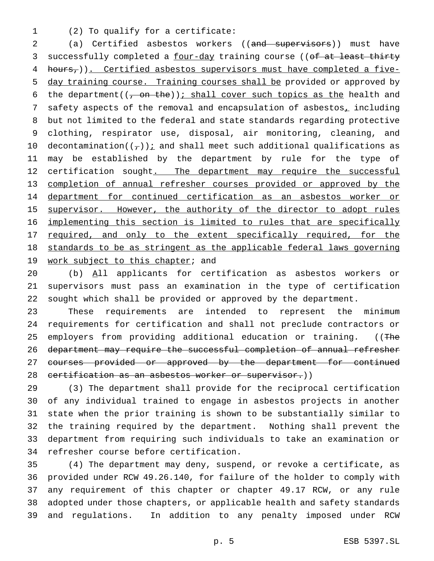1 (2) To qualify for a certificate:

2 (a) Certified asbestos workers ((and supervisors)) must have 3 successfully completed a four-day training course ((of at least thirty 4 hours, )). Certified asbestos supervisors must have completed a five-5 day training course. Training courses shall be provided or approved by 6 the department( $(-\text{on the})$ ); shall cover such topics as the health and 7 safety aspects of the removal and encapsulation of asbestos<sub>1</sub> including 8 but not limited to the federal and state standards regarding protective 9 clothing, respirator use, disposal, air monitoring, cleaning, and 10 decontamination( $(\tau)$ ) *i* and shall meet such additional qualifications as 11 may be established by the department by rule for the type of 12 certification sought. The department may require the successful 13 completion of annual refresher courses provided or approved by the 14 department for continued certification as an asbestos worker or 15 supervisor. However, the authority of the director to adopt rules 16 implementing this section is limited to rules that are specifically 17 required, and only to the extent specifically required, for the 18 standards to be as stringent as the applicable federal laws governing 19 work subject to this chapter; and

20 (b) All applicants for certification as asbestos workers or 21 supervisors must pass an examination in the type of certification 22 sought which shall be provided or approved by the department.

23 These requirements are intended to represent the minimum 24 requirements for certification and shall not preclude contractors or 25 employers from providing additional education or training. ((The 26 department may require the successful completion of annual refresher 27 courses provided or approved by the department for continued 28 certification as an asbestos worker or supervisor.))

 (3) The department shall provide for the reciprocal certification of any individual trained to engage in asbestos projects in another state when the prior training is shown to be substantially similar to the training required by the department. Nothing shall prevent the department from requiring such individuals to take an examination or refresher course before certification.

 (4) The department may deny, suspend, or revoke a certificate, as provided under RCW 49.26.140, for failure of the holder to comply with any requirement of this chapter or chapter 49.17 RCW, or any rule adopted under those chapters, or applicable health and safety standards and regulations. In addition to any penalty imposed under RCW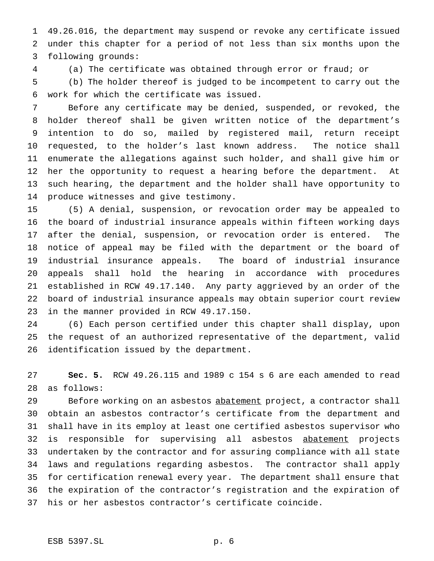49.26.016, the department may suspend or revoke any certificate issued under this chapter for a period of not less than six months upon the following grounds:

(a) The certificate was obtained through error or fraud; or

 (b) The holder thereof is judged to be incompetent to carry out the work for which the certificate was issued.

 Before any certificate may be denied, suspended, or revoked, the holder thereof shall be given written notice of the department's intention to do so, mailed by registered mail, return receipt requested, to the holder's last known address. The notice shall enumerate the allegations against such holder, and shall give him or her the opportunity to request a hearing before the department. At such hearing, the department and the holder shall have opportunity to produce witnesses and give testimony.

 (5) A denial, suspension, or revocation order may be appealed to the board of industrial insurance appeals within fifteen working days after the denial, suspension, or revocation order is entered. The notice of appeal may be filed with the department or the board of industrial insurance appeals. The board of industrial insurance appeals shall hold the hearing in accordance with procedures established in RCW 49.17.140. Any party aggrieved by an order of the board of industrial insurance appeals may obtain superior court review in the manner provided in RCW 49.17.150.

 (6) Each person certified under this chapter shall display, upon the request of an authorized representative of the department, valid identification issued by the department.

 **Sec. 5.** RCW 49.26.115 and 1989 c 154 s 6 are each amended to read as follows:

29 Before working on an asbestos abatement project, a contractor shall obtain an asbestos contractor's certificate from the department and shall have in its employ at least one certified asbestos supervisor who 32 is responsible for supervising all asbestos abatement projects undertaken by the contractor and for assuring compliance with all state laws and regulations regarding asbestos. The contractor shall apply for certification renewal every year. The department shall ensure that the expiration of the contractor's registration and the expiration of his or her asbestos contractor's certificate coincide.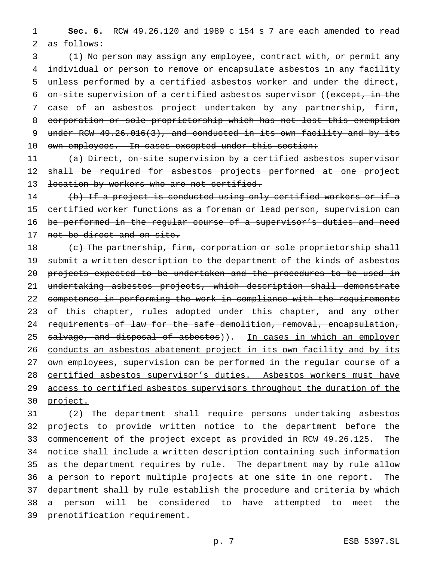1 **Sec. 6.** RCW 49.26.120 and 1989 c 154 s 7 are each amended to read 2 as follows:

 (1) No person may assign any employee, contract with, or permit any individual or person to remove or encapsulate asbestos in any facility unless performed by a certified asbestos worker and under the direct, 6 on-site supervision of a certified asbestos supervisor ((except, in the case of an asbestos project undertaken by any partnership, firm, corporation or sole proprietorship which has not lost this exemption 9 under RCW 49.26.016(3), and conducted in its own facility and by its 10 own employees. In cases excepted under this section:

11 (a) Direct, on-site supervision by a certified asbestos supervisor 12 shall be required for asbestos projects performed at one project 13 location by workers who are not certified.

 (b) If a project is conducted using only certified workers or if a certified worker functions as a foreman or lead person, supervision can be performed in the regular course of a supervisor's duties and need 17 not be direct and on-site.

18  $\left\{\epsilon\right\}$  The partnership, firm, corporation or sole proprietorship shall 19 submit a written description to the department of the kinds of asbestos 20 projects expected to be undertaken and the procedures to be used in 21 undertaking asbestos projects, which description shall demonstrate 22 competence in performing the work in compliance with the requirements 23 of this chapter, rules adopted under this chapter, and any other 24 requirements of law for the safe demolition, removal, encapsulation, 25 salvage, and disposal of asbestos)). In cases in which an employer 26 conducts an asbestos abatement project in its own facility and by its 27 own employees, supervision can be performed in the regular course of a 28 certified asbestos supervisor's duties. Asbestos workers must have 29 access to certified asbestos supervisors throughout the duration of the 30 project.

 (2) The department shall require persons undertaking asbestos projects to provide written notice to the department before the commencement of the project except as provided in RCW 49.26.125. The notice shall include a written description containing such information as the department requires by rule. The department may by rule allow a person to report multiple projects at one site in one report. The department shall by rule establish the procedure and criteria by which a person will be considered to have attempted to meet the prenotification requirement.